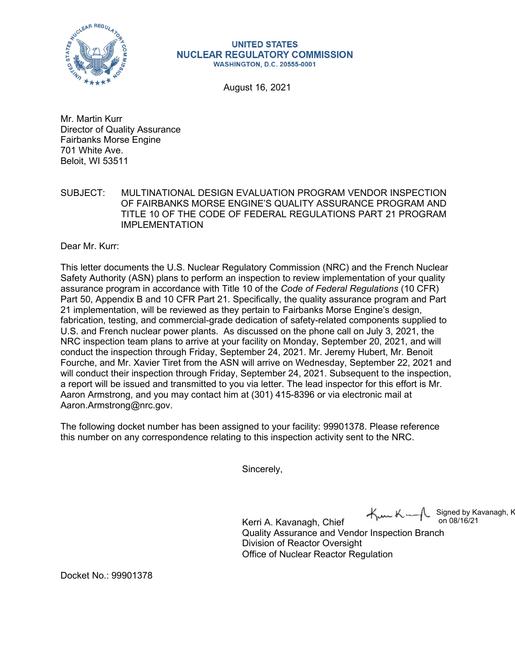

## **UNITED STATES NUCLEAR REGULATORY COMMISSION WASHINGTON, D.C. 20555-0001**

August 16, 2021

Mr. Martin Kurr Director of Quality Assurance Fairbanks Morse Engine 701 White Ave. Beloit, WI 53511

SUBJECT: MULTINATIONAL DESIGN EVALUATION PROGRAM VENDOR INSPECTION OF FAIRBANKS MORSE ENGINE'S QUALITY ASSURANCE PROGRAM AND TITLE 10 OF THE CODE OF FEDERAL REGULATIONS PART 21 PROGRAM IMPLEMENTATION

Dear Mr. Kurr:

This letter documents the U.S. Nuclear Regulatory Commission (NRC) and the French Nuclear Safety Authority (ASN) plans to perform an inspection to review implementation of your quality assurance program in accordance with Title 10 of the *Code of Federal Regulations* (10 CFR) Part 50, Appendix B and 10 CFR Part 21. Specifically, the quality assurance program and Part 21 implementation, will be reviewed as they pertain to Fairbanks Morse Engine's design, fabrication, testing, and commercial-grade dedication of safety-related components supplied to U.S. and French nuclear power plants. As discussed on the phone call on July 3, 2021, the NRC inspection team plans to arrive at your facility on Monday, September 20, 2021, and will conduct the inspection through Friday, September 24, 2021. Mr. Jeremy Hubert, Mr. Benoit Fourche, and Mr. Xavier Tiret from the ASN will arrive on Wednesday, September 22, 2021 and will conduct their inspection through Friday, September 24, 2021. Subsequent to the inspection, a report will be issued and transmitted to you via letter. The lead inspector for this effort is Mr. Aaron Armstrong, and you may contact him at (301) 415-8396 or via electronic mail at [Aaron.Armstrong@nrc.gov.](mailto:Aaron.Armstrong@nrc.gov)

The following docket number has been assigned to your facility: 99901378. Please reference this number on any correspondence relating to this inspection activity sent to the NRC.

Sincerely,

Signed by Kavanagh, K<br>on 08/16/21

Kerri A. Kavanagh, Chief  $\mathcal{M}_{\mu\nu}$ K $\sim$ Quality Assurance and Vendor Inspection Branch Division of Reactor Oversight Office of Nuclear Reactor Regulation

Docket No.: 99901378